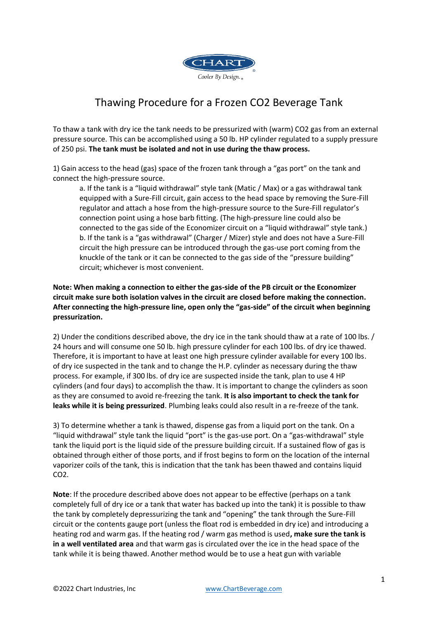

## Thawing Procedure for a Frozen CO2 Beverage Tank

To thaw a tank with dry ice the tank needs to be pressurized with (warm) CO2 gas from an external pressure source. This can be accomplished using a 50 lb. HP cylinder regulated to a supply pressure of 250 psi. **The tank must be isolated and not in use during the thaw process.**

1) Gain access to the head (gas) space of the frozen tank through a "gas port" on the tank and connect the high-pressure source.

a. If the tank is a "liquid withdrawal" style tank (Matic / Max) or a gas withdrawal tank equipped with a Sure-Fill circuit, gain access to the head space by removing the Sure-Fill regulator and attach a hose from the high-pressure source to the Sure-Fill regulator's connection point using a hose barb fitting. (The high-pressure line could also be connected to the gas side of the Economizer circuit on a "liquid withdrawal" style tank.) b. If the tank is a "gas withdrawal" (Charger / Mizer) style and does not have a Sure-Fill circuit the high pressure can be introduced through the gas-use port coming from the knuckle of the tank or it can be connected to the gas side of the "pressure building" circuit; whichever is most convenient.

## **Note: When making a connection to either the gas-side of the PB circuit or the Economizer circuit make sure both isolation valves in the circuit are closed before making the connection. After connecting the high-pressure line, open only the "gas-side" of the circuit when beginning pressurization.**

2) Under the conditions described above, the dry ice in the tank should thaw at a rate of 100 lbs. / 24 hours and will consume one 50 lb. high pressure cylinder for each 100 lbs. of dry ice thawed. Therefore, it is important to have at least one high pressure cylinder available for every 100 lbs. of dry ice suspected in the tank and to change the H.P. cylinder as necessary during the thaw process. For example, if 300 lbs. of dry ice are suspected inside the tank, plan to use 4 HP cylinders (and four days) to accomplish the thaw. It is important to change the cylinders as soon as they are consumed to avoid re-freezing the tank. **It is also important to check the tank for leaks while it is being pressurized**. Plumbing leaks could also result in a re-freeze of the tank.

3) To determine whether a tank is thawed, dispense gas from a liquid port on the tank. On a "liquid withdrawal" style tank the liquid "port" is the gas-use port. On a "gas-withdrawal" style tank the liquid port is the liquid side of the pressure building circuit. If a sustained flow of gas is obtained through either of those ports, and if frost begins to form on the location of the internal vaporizer coils of the tank, this is indication that the tank has been thawed and contains liquid CO2.

**Note**: If the procedure described above does not appear to be effective (perhaps on a tank completely full of dry ice or a tank that water has backed up into the tank) it is possible to thaw the tank by completely depressurizing the tank and "opening" the tank through the Sure-Fill circuit or the contents gauge port (unless the float rod is embedded in dry ice) and introducing a heating rod and warm gas. If the heating rod / warm gas method is used**, make sure the tank is in a well ventilated area** and that warm gas is circulated over the ice in the head space of the tank while it is being thawed. Another method would be to use a heat gun with variable